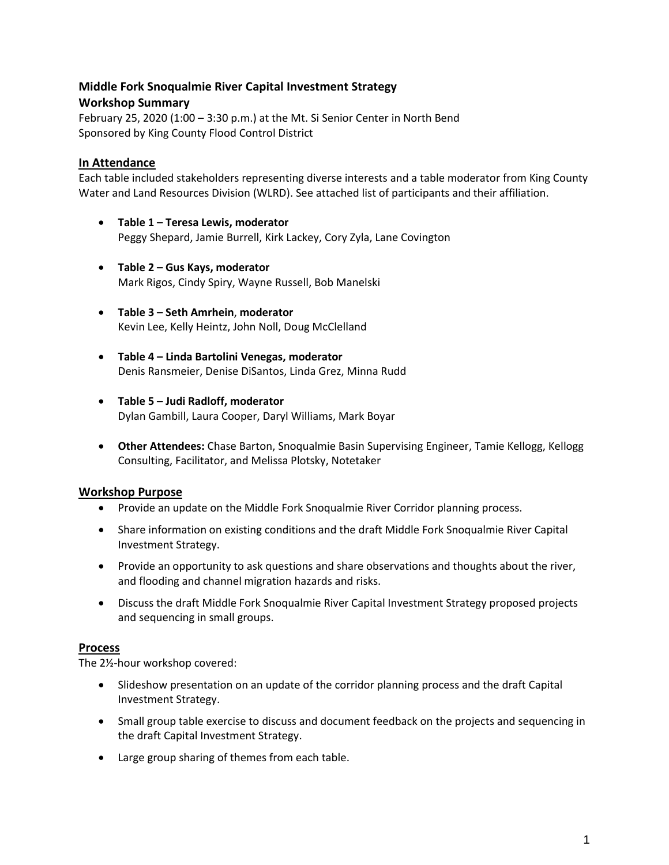# **Middle Fork Snoqualmie River Capital Investment Strategy**

### **Workshop Summary**

February 25, 2020 (1:00 – 3:30 p.m.) at the Mt. Si Senior Center in North Bend Sponsored by King County Flood Control District

## **In Attendance**

Each table included stakeholders representing diverse interests and a table moderator from King County Water and Land Resources Division (WLRD). See attached list of participants and their affiliation.

- **Table 1 – Teresa Lewis, moderator**  Peggy Shepard, Jamie Burrell, Kirk Lackey, Cory Zyla, Lane Covington
- **Table 2 – Gus Kays, moderator** Mark Rigos, Cindy Spiry, Wayne Russell, Bob Manelski
- **Table 3 – Seth Amrhein**, **moderator** Kevin Lee, Kelly Heintz, John Noll, Doug McClelland
- **Table 4 – Linda Bartolini Venegas, moderator** Denis Ransmeier, Denise DiSantos, Linda Grez, Minna Rudd
- **Table 5 – Judi Radloff, moderator** Dylan Gambill, Laura Cooper, Daryl Williams, Mark Boyar
- **Other Attendees:** Chase Barton, Snoqualmie Basin Supervising Engineer, Tamie Kellogg, Kellogg Consulting, Facilitator, and Melissa Plotsky, Notetaker

### **Workshop Purpose**

- Provide an update on the Middle Fork Snoqualmie River Corridor planning process.
- Share information on existing conditions and the draft Middle Fork Snoqualmie River Capital Investment Strategy.
- Provide an opportunity to ask questions and share observations and thoughts about the river, and flooding and channel migration hazards and risks.
- Discuss the draft Middle Fork Snoqualmie River Capital Investment Strategy proposed projects and sequencing in small groups.

### **Process**

The 2½-hour workshop covered:

- Slideshow presentation on an update of the corridor planning process and the draft Capital Investment Strategy.
- Small group table exercise to discuss and document feedback on the projects and sequencing in the draft Capital Investment Strategy.
- Large group sharing of themes from each table.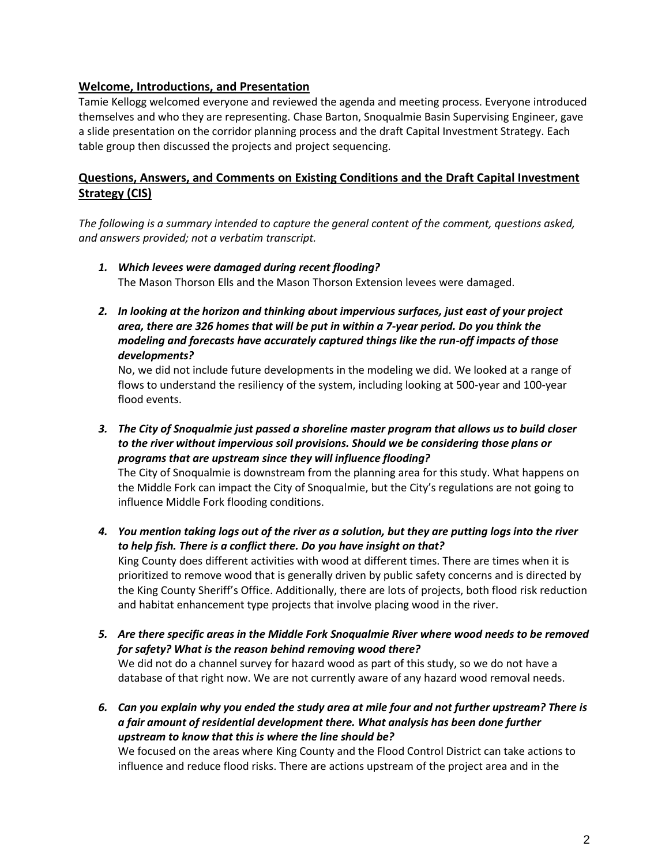### **Welcome, Introductions, and Presentation**

Tamie Kellogg welcomed everyone and reviewed the agenda and meeting process. Everyone introduced themselves and who they are representing. Chase Barton, Snoqualmie Basin Supervising Engineer, gave a slide presentation on the corridor planning process and the draft Capital Investment Strategy. Each table group then discussed the projects and project sequencing.

# **Questions, Answers, and Comments on Existing Conditions and the Draft Capital Investment Strategy (CIS)**

*The following is a summary intended to capture the general content of the comment, questions asked, and answers provided; not a verbatim transcript.*

- *1. Which levees were damaged during recent flooding?* The Mason Thorson Ells and the Mason Thorson Extension levees were damaged.
- *2. In looking at the horizon and thinking about impervious surfaces, just east of your project area, there are 326 homes that will be put in within a 7-year period. Do you think the modeling and forecasts have accurately captured things like the run-off impacts of those developments?*

No, we did not include future developments in the modeling we did. We looked at a range of flows to understand the resiliency of the system, including looking at 500-year and 100-year flood events.

*3. The City of Snoqualmie just passed a shoreline master program that allows us to build closer to the river without impervious soil provisions. Should we be considering those plans or programs that are upstream since they will influence flooding?*

The City of Snoqualmie is downstream from the planning area for this study. What happens on the Middle Fork can impact the City of Snoqualmie, but the City's regulations are not going to influence Middle Fork flooding conditions.

- *4. You mention taking logs out of the river as a solution, but they are putting logs into the river to help fish. There is a conflict there. Do you have insight on that?* King County does different activities with wood at different times. There are times when it is prioritized to remove wood that is generally driven by public safety concerns and is directed by the King County Sheriff's Office. Additionally, there are lots of projects, both flood risk reduction and habitat enhancement type projects that involve placing wood in the river.
- *5. Are there specific areas in the Middle Fork Snoqualmie River where wood needs to be removed for safety? What is the reason behind removing wood there?* We did not do a channel survey for hazard wood as part of this study, so we do not have a database of that right now. We are not currently aware of any hazard wood removal needs.
- *6. Can you explain why you ended the study area at mile four and not further upstream? There is a fair amount of residential development there. What analysis has been done further upstream to know that this is where the line should be?*

We focused on the areas where King County and the Flood Control District can take actions to influence and reduce flood risks. There are actions upstream of the project area and in the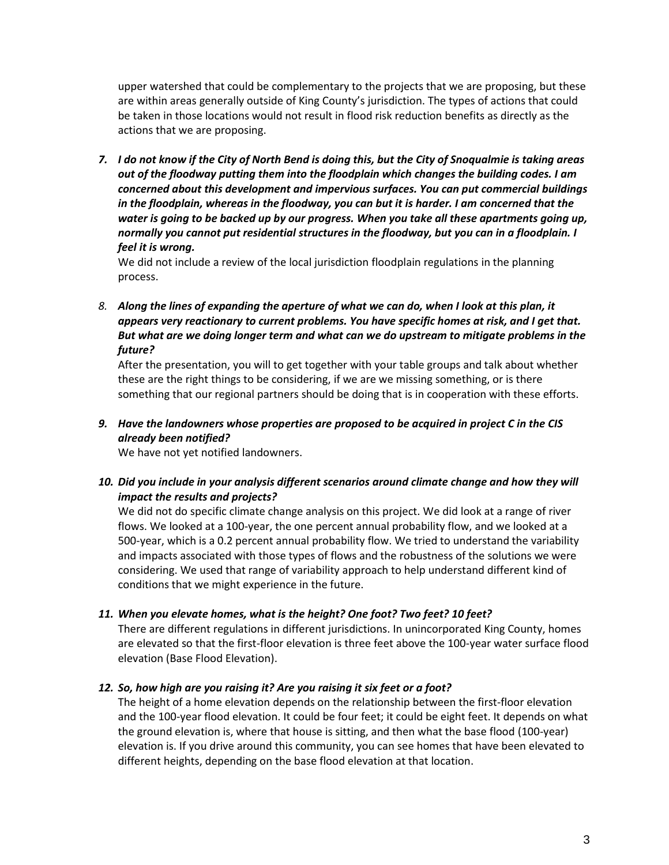upper watershed that could be complementary to the projects that we are proposing, but these are within areas generally outside of King County's jurisdiction. The types of actions that could be taken in those locations would not result in flood risk reduction benefits as directly as the actions that we are proposing.

*7. I do not know if the City of North Bend is doing this, but the City of Snoqualmie is taking areas out of the floodway putting them into the floodplain which changes the building codes. I am concerned about this development and impervious surfaces. You can put commercial buildings in the floodplain, whereas in the floodway, you can but it is harder. I am concerned that the water is going to be backed up by our progress. When you take all these apartments going up, normally you cannot put residential structures in the floodway, but you can in a floodplain. I feel it is wrong.* 

We did not include a review of the local jurisdiction floodplain regulations in the planning process.

*8. Along the lines of expanding the aperture of what we can do, when I look at this plan, it appears very reactionary to current problems. You have specific homes at risk, and I get that. But what are we doing longer term and what can we do upstream to mitigate problems in the future?* 

After the presentation, you will to get together with your table groups and talk about whether these are the right things to be considering, if we are we missing something, or is there something that our regional partners should be doing that is in cooperation with these efforts.

*9. Have the landowners whose properties are proposed to be acquired in project C in the CIS already been notified?*

We have not yet notified landowners.

*10. Did you include in your analysis different scenarios around climate change and how they will impact the results and projects?*

We did not do specific climate change analysis on this project. We did look at a range of river flows. We looked at a 100-year, the one percent annual probability flow, and we looked at a 500-year, which is a 0.2 percent annual probability flow. We tried to understand the variability and impacts associated with those types of flows and the robustness of the solutions we were considering. We used that range of variability approach to help understand different kind of conditions that we might experience in the future.

### *11. When you elevate homes, what is the height? One foot? Two feet? 10 feet?*

There are different regulations in different jurisdictions. In unincorporated King County, homes are elevated so that the first-floor elevation is three feet above the 100-year water surface flood elevation (Base Flood Elevation).

#### *12. So, how high are you raising it? Are you raising it six feet or a foot?*

The height of a home elevation depends on the relationship between the first-floor elevation and the 100-year flood elevation. It could be four feet; it could be eight feet. It depends on what the ground elevation is, where that house is sitting, and then what the base flood (100-year) elevation is. If you drive around this community, you can see homes that have been elevated to different heights, depending on the base flood elevation at that location.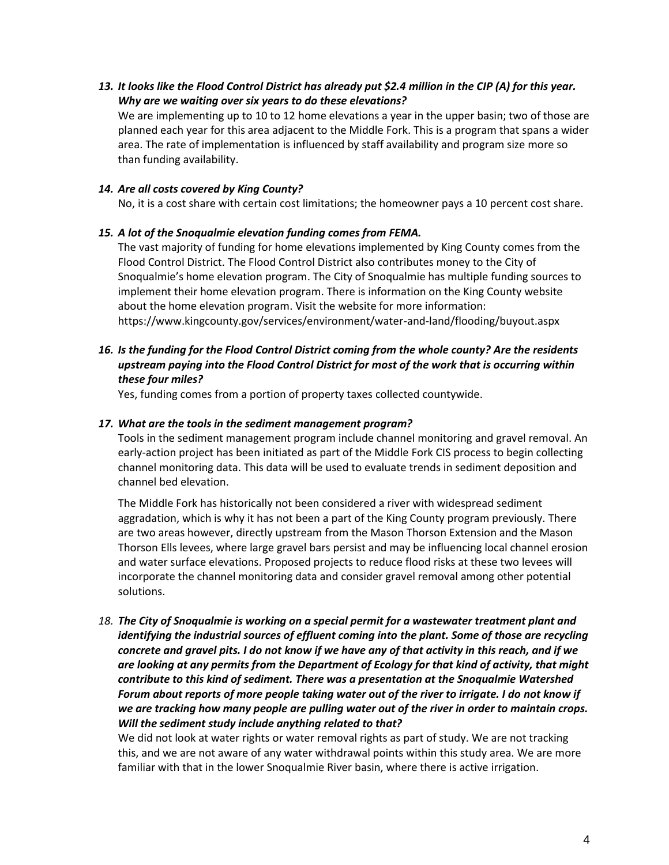*13. It looks like the Flood Control District has already put \$2.4 million in the CIP (A) for this year. Why are we waiting over six years to do these elevations?*

We are implementing up to 10 to 12 home elevations a year in the upper basin; two of those are planned each year for this area adjacent to the Middle Fork. This is a program that spans a wider area. The rate of implementation is influenced by staff availability and program size more so than funding availability.

### *14. Are all costs covered by King County?*

No, it is a cost share with certain cost limitations; the homeowner pays a 10 percent cost share.

### *15. A lot of the Snoqualmie elevation funding comes from FEMA.*

The vast majority of funding for home elevations implemented by King County comes from the Flood Control District. The Flood Control District also contributes money to the City of Snoqualmie's home elevation program. The City of Snoqualmie has multiple funding sources to implement their home elevation program. There is information on the King County website about the home elevation program. Visit the website for more information: https://www.kingcounty.gov/services/environment/water-and-land/flooding/buyout.aspx

### *16. Is the funding for the Flood Control District coming from the whole county? Are the residents upstream paying into the Flood Control District for most of the work that is occurring within these four miles?*

Yes, funding comes from a portion of property taxes collected countywide.

### *17. What are the tools in the sediment management program?*

Tools in the sediment management program include channel monitoring and gravel removal. An early-action project has been initiated as part of the Middle Fork CIS process to begin collecting channel monitoring data. This data will be used to evaluate trends in sediment deposition and channel bed elevation.

The Middle Fork has historically not been considered a river with widespread sediment aggradation, which is why it has not been a part of the King County program previously. There are two areas however, directly upstream from the Mason Thorson Extension and the Mason Thorson Ells levees, where large gravel bars persist and may be influencing local channel erosion and water surface elevations. Proposed projects to reduce flood risks at these two levees will incorporate the channel monitoring data and consider gravel removal among other potential solutions.

*18. The City of Snoqualmie is working on a special permit for a wastewater treatment plant and identifying the industrial sources of effluent coming into the plant. Some of those are recycling concrete and gravel pits. I do not know if we have any of that activity in this reach, and if we are looking at any permits from the Department of Ecology for that kind of activity, that might contribute to this kind of sediment. There was a presentation at the Snoqualmie Watershed Forum about reports of more people taking water out of the river to irrigate. I do not know if we are tracking how many people are pulling water out of the river in order to maintain crops. Will the sediment study include anything related to that?*

We did not look at water rights or water removal rights as part of study. We are not tracking this, and we are not aware of any water withdrawal points within this study area. We are more familiar with that in the lower Snoqualmie River basin, where there is active irrigation.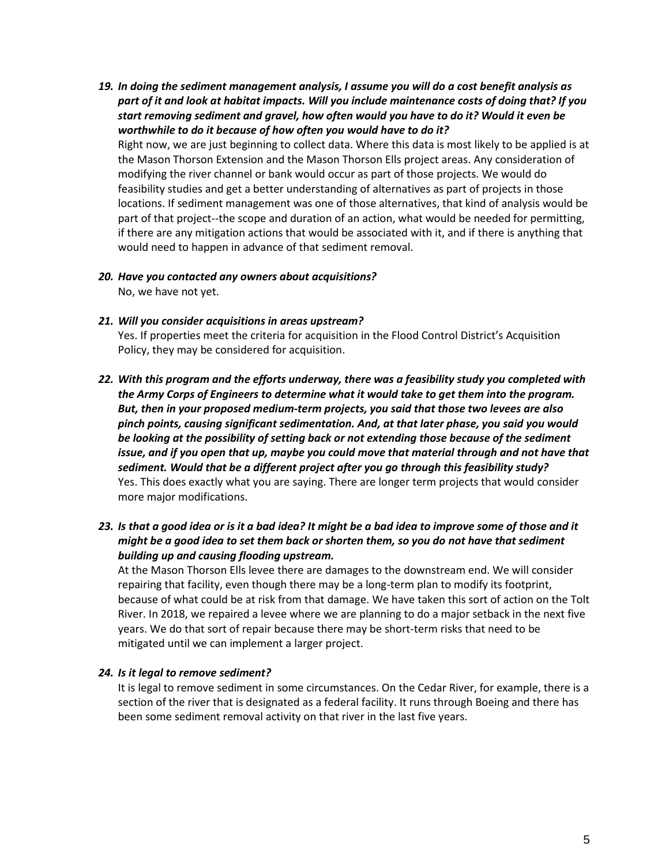- *19. In doing the sediment management analysis, I assume you will do a cost benefit analysis as part of it and look at habitat impacts. Will you include maintenance costs of doing that? If you start removing sediment and gravel, how often would you have to do it? Would it even be worthwhile to do it because of how often you would have to do it?* Right now, we are just beginning to collect data. Where this data is most likely to be applied is at the Mason Thorson Extension and the Mason Thorson Ells project areas. Any consideration of modifying the river channel or bank would occur as part of those projects. We would do feasibility studies and get a better understanding of alternatives as part of projects in those locations. If sediment management was one of those alternatives, that kind of analysis would be part of that project--the scope and duration of an action, what would be needed for permitting, if there are any mitigation actions that would be associated with it, and if there is anything that would need to happen in advance of that sediment removal.
- *20. Have you contacted any owners about acquisitions?* No, we have not yet.
- *21. Will you consider acquisitions in areas upstream?*

Yes. If properties meet the criteria for acquisition in the Flood Control District's Acquisition Policy, they may be considered for acquisition.

- *22. With this program and the efforts underway, there was a feasibility study you completed with the Army Corps of Engineers to determine what it would take to get them into the program. But, then in your proposed medium-term projects, you said that those two levees are also pinch points, causing significant sedimentation. And, at that later phase, you said you would be looking at the possibility of setting back or not extending those because of the sediment issue, and if you open that up, maybe you could move that material through and not have that sediment. Would that be a different project after you go through this feasibility study?* Yes. This does exactly what you are saying. There are longer term projects that would consider more major modifications.
- *23. Is that a good idea or is it a bad idea? It might be a bad idea to improve some of those and it might be a good idea to set them back or shorten them, so you do not have that sediment building up and causing flooding upstream.*

At the Mason Thorson Ells levee there are damages to the downstream end. We will consider repairing that facility, even though there may be a long-term plan to modify its footprint, because of what could be at risk from that damage. We have taken this sort of action on the Tolt River. In 2018, we repaired a levee where we are planning to do a major setback in the next five years. We do that sort of repair because there may be short-term risks that need to be mitigated until we can implement a larger project.

#### *24. Is it legal to remove sediment?*

It is legal to remove sediment in some circumstances. On the Cedar River, for example, there is a section of the river that is designated as a federal facility. It runs through Boeing and there has been some sediment removal activity on that river in the last five years.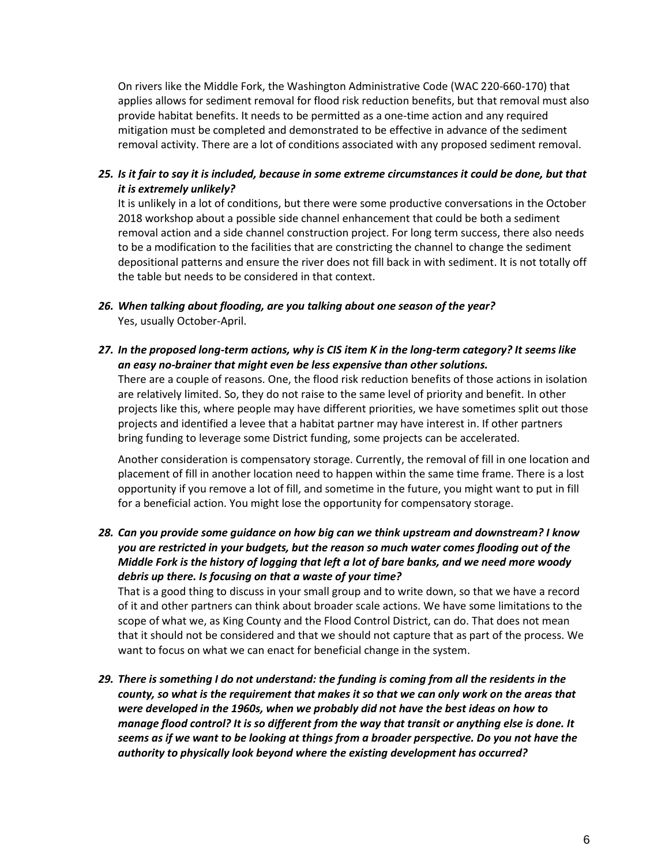On rivers like the Middle Fork, the Washington Administrative Code (WAC 220-660-170) that applies allows for sediment removal for flood risk reduction benefits, but that removal must also provide habitat benefits. It needs to be permitted as a one-time action and any required mitigation must be completed and demonstrated to be effective in advance of the sediment removal activity. There are a lot of conditions associated with any proposed sediment removal.

*25. Is it fair to say it is included, because in some extreme circumstances it could be done, but that it is extremely unlikely?*

It is unlikely in a lot of conditions, but there were some productive conversations in the October 2018 workshop about a possible side channel enhancement that could be both a sediment removal action and a side channel construction project. For long term success, there also needs to be a modification to the facilities that are constricting the channel to change the sediment depositional patterns and ensure the river does not fill back in with sediment. It is not totally off the table but needs to be considered in that context.

- *26. When talking about flooding, are you talking about one season of the year?* Yes, usually October-April.
- *27. In the proposed long-term actions, why is CIS item K in the long-term category? It seems like an easy no-brainer that might even be less expensive than other solutions.*

There are a couple of reasons. One, the flood risk reduction benefits of those actions in isolation are relatively limited. So, they do not raise to the same level of priority and benefit. In other projects like this, where people may have different priorities, we have sometimes split out those projects and identified a levee that a habitat partner may have interest in. If other partners bring funding to leverage some District funding, some projects can be accelerated.

Another consideration is compensatory storage. Currently, the removal of fill in one location and placement of fill in another location need to happen within the same time frame. There is a lost opportunity if you remove a lot of fill, and sometime in the future, you might want to put in fill for a beneficial action. You might lose the opportunity for compensatory storage.

*28. Can you provide some guidance on how big can we think upstream and downstream? I know you are restricted in your budgets, but the reason so much water comes flooding out of the Middle Fork is the history of logging that left a lot of bare banks, and we need more woody debris up there. Is focusing on that a waste of your time?*

That is a good thing to discuss in your small group and to write down, so that we have a record of it and other partners can think about broader scale actions. We have some limitations to the scope of what we, as King County and the Flood Control District, can do. That does not mean that it should not be considered and that we should not capture that as part of the process. We want to focus on what we can enact for beneficial change in the system.

*29. There is something I do not understand: the funding is coming from all the residents in the county, so what is the requirement that makes it so that we can only work on the areas that were developed in the 1960s, when we probably did not have the best ideas on how to manage flood control? It is so different from the way that transit or anything else is done. It seems as if we want to be looking at things from a broader perspective. Do you not have the authority to physically look beyond where the existing development has occurred?*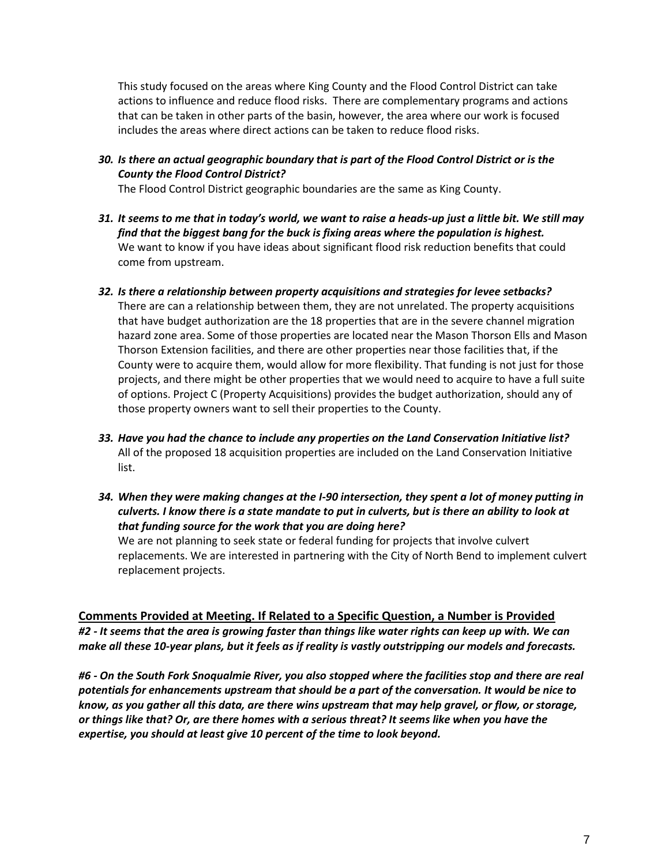This study focused on the areas where King County and the Flood Control District can take actions to influence and reduce flood risks. There are complementary programs and actions that can be taken in other parts of the basin, however, the area where our work is focused includes the areas where direct actions can be taken to reduce flood risks.

*30. Is there an actual geographic boundary that is part of the Flood Control District or is the County the Flood Control District?*

The Flood Control District geographic boundaries are the same as King County.

- *31. It seems to me that in today's world, we want to raise a heads-up just a little bit. We still may find that the biggest bang for the buck is fixing areas where the population is highest.*  We want to know if you have ideas about significant flood risk reduction benefits that could come from upstream.
- *32. Is there a relationship between property acquisitions and strategies for levee setbacks?* There are can a relationship between them, they are not unrelated. The property acquisitions that have budget authorization are the 18 properties that are in the severe channel migration hazard zone area. Some of those properties are located near the Mason Thorson Ells and Mason Thorson Extension facilities, and there are other properties near those facilities that, if the County were to acquire them, would allow for more flexibility. That funding is not just for those projects, and there might be other properties that we would need to acquire to have a full suite of options. Project C (Property Acquisitions) provides the budget authorization, should any of those property owners want to sell their properties to the County.
- *33. Have you had the chance to include any properties on the Land Conservation Initiative list?* All of the proposed 18 acquisition properties are included on the Land Conservation Initiative list.
- *34. When they were making changes at the I-90 intersection, they spent a lot of money putting in culverts. I know there is a state mandate to put in culverts, but is there an ability to look at that funding source for the work that you are doing here?*

We are not planning to seek state or federal funding for projects that involve culvert replacements. We are interested in partnering with the City of North Bend to implement culvert replacement projects.

### **Comments Provided at Meeting. If Related to a Specific Question, a Number is Provided**

*#2 - It seems that the area is growing faster than things like water rights can keep up with. We can make all these 10-year plans, but it feels as if reality is vastly outstripping our models and forecasts.*

*#6 - On the South Fork Snoqualmie River, you also stopped where the facilities stop and there are real potentials for enhancements upstream that should be a part of the conversation. It would be nice to know, as you gather all this data, are there wins upstream that may help gravel, or flow, or storage, or things like that? Or, are there homes with a serious threat? It seems like when you have the expertise, you should at least give 10 percent of the time to look beyond.*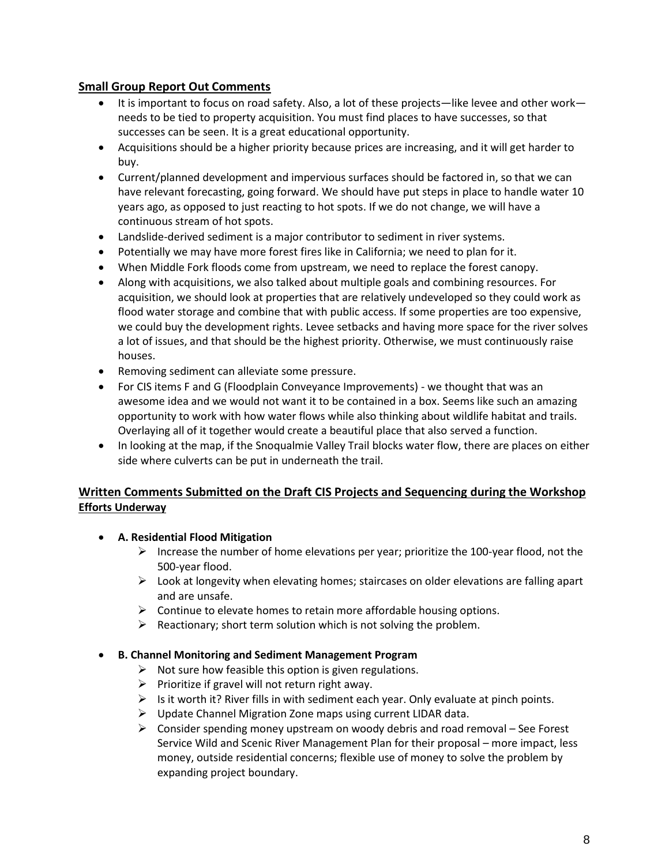### **Small Group Report Out Comments**

- It is important to focus on road safety. Also, a lot of these projects—like levee and other work needs to be tied to property acquisition. You must find places to have successes, so that successes can be seen. It is a great educational opportunity.
- Acquisitions should be a higher priority because prices are increasing, and it will get harder to buy.
- Current/planned development and impervious surfaces should be factored in, so that we can have relevant forecasting, going forward. We should have put steps in place to handle water 10 years ago, as opposed to just reacting to hot spots. If we do not change, we will have a continuous stream of hot spots.
- Landslide-derived sediment is a major contributor to sediment in river systems.
- Potentially we may have more forest fires like in California; we need to plan for it.
- When Middle Fork floods come from upstream, we need to replace the forest canopy.
- Along with acquisitions, we also talked about multiple goals and combining resources. For acquisition, we should look at properties that are relatively undeveloped so they could work as flood water storage and combine that with public access. If some properties are too expensive, we could buy the development rights. Levee setbacks and having more space for the river solves a lot of issues, and that should be the highest priority. Otherwise, we must continuously raise houses.
- Removing sediment can alleviate some pressure.
- For CIS items F and G (Floodplain Conveyance Improvements) we thought that was an awesome idea and we would not want it to be contained in a box. Seems like such an amazing opportunity to work with how water flows while also thinking about wildlife habitat and trails. Overlaying all of it together would create a beautiful place that also served a function.
- In looking at the map, if the Snoqualmie Valley Trail blocks water flow, there are places on either side where culverts can be put in underneath the trail.

## **Written Comments Submitted on the Draft CIS Projects and Sequencing during the Workshop Efforts Underway**

### • **A. Residential Flood Mitigation**

- $\triangleright$  Increase the number of home elevations per year; prioritize the 100-year flood, not the 500-year flood.
- $\triangleright$  Look at longevity when elevating homes; staircases on older elevations are falling apart and are unsafe.
- $\triangleright$  Continue to elevate homes to retain more affordable housing options.
- $\triangleright$  Reactionary; short term solution which is not solving the problem.

### • **B. Channel Monitoring and Sediment Management Program**

- $\triangleright$  Not sure how feasible this option is given regulations.
- $\triangleright$  Prioritize if gravel will not return right away.
- $\triangleright$  Is it worth it? River fills in with sediment each year. Only evaluate at pinch points.
- ➢ Update Channel Migration Zone maps using current LIDAR data.
- $\triangleright$  Consider spending money upstream on woody debris and road removal See Forest Service Wild and Scenic River Management Plan for their proposal – more impact, less money, outside residential concerns; flexible use of money to solve the problem by expanding project boundary.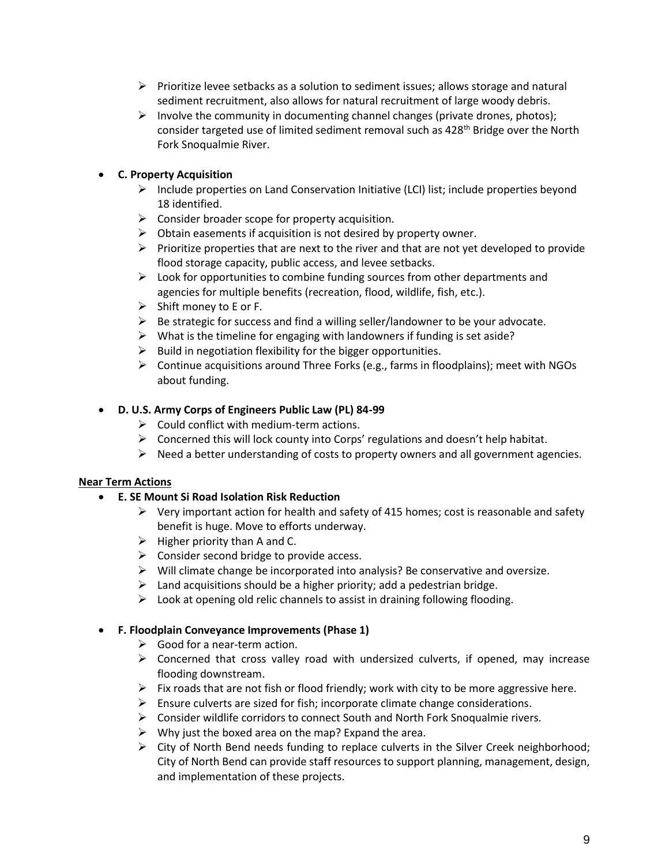- $\triangleright$  Prioritize levee setbacks as a solution to sediment issues; allows storage and natural sediment recruitment, also allows for natural recruitment of large woody debris.
- $\triangleright$  Involve the community in documenting channel changes (private drones, photos); consider targeted use of limited sediment removal such as  $428<sup>th</sup>$  Bridge over the North Fork Snoqualmie River.

# • **C. Property Acquisition**

- $\triangleright$  Include properties on Land Conservation Initiative (LCI) list; include properties beyond 18 identified.
- $\triangleright$  Consider broader scope for property acquisition.
- $\triangleright$  Obtain easements if acquisition is not desired by property owner.
- $\triangleright$  Prioritize properties that are next to the river and that are not yet developed to provide flood storage capacity, public access, and levee setbacks.
- $\triangleright$  Look for opportunities to combine funding sources from other departments and agencies for multiple benefits (recreation, flood, wildlife, fish, etc.).
- ➢ Shift money to E or F.
- $\triangleright$  Be strategic for success and find a willing seller/landowner to be your advocate.
- $\triangleright$  What is the timeline for engaging with landowners if funding is set aside?
- $\triangleright$  Build in negotiation flexibility for the bigger opportunities.
- $\triangleright$  Continue acquisitions around Three Forks (e.g., farms in floodplains); meet with NGOs about funding.

### • **D. U.S. Army Corps of Engineers Public Law (PL) 84-99**

- $\triangleright$  Could conflict with medium-term actions.
- ➢ Concerned this will lock county into Corps' regulations and doesn't help habitat.
- $\triangleright$  Need a better understanding of costs to property owners and all government agencies.

### **Near Term Actions**

- **E. SE Mount Si Road Isolation Risk Reduction**
	- $\triangleright$  Very important action for health and safety of 415 homes; cost is reasonable and safety benefit is huge. Move to efforts underway.
	- $\triangleright$  Higher priority than A and C.
	- $\triangleright$  Consider second bridge to provide access.
	- ➢ Will climate change be incorporated into analysis? Be conservative and oversize.
	- $\triangleright$  Land acquisitions should be a higher priority; add a pedestrian bridge.
	- $\triangleright$  Look at opening old relic channels to assist in draining following flooding.

### • **F. Floodplain Conveyance Improvements (Phase 1)**

- $\triangleright$  Good for a near-term action.
- $\triangleright$  Concerned that cross valley road with undersized culverts, if opened, may increase flooding downstream.
- $\triangleright$  Fix roads that are not fish or flood friendly; work with city to be more aggressive here.
- $\triangleright$  Ensure culverts are sized for fish; incorporate climate change considerations.
- $\triangleright$  Consider wildlife corridors to connect South and North Fork Snoqualmie rivers.
- $\triangleright$  Why just the boxed area on the map? Expand the area.
- $\triangleright$  City of North Bend needs funding to replace culverts in the Silver Creek neighborhood; City of North Bend can provide staff resources to support planning, management, design, and implementation of these projects.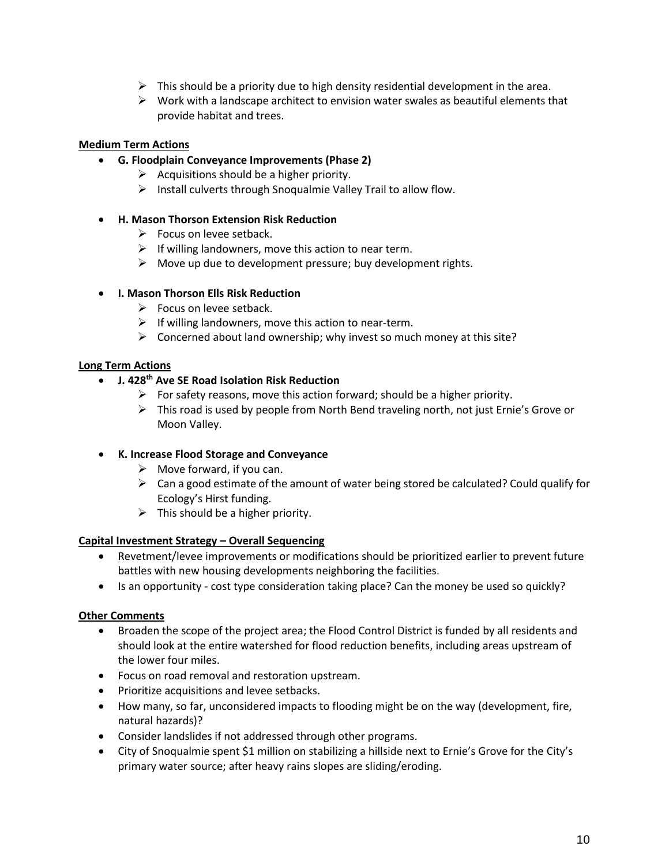- $\triangleright$  This should be a priority due to high density residential development in the area.
- $\triangleright$  Work with a landscape architect to envision water swales as beautiful elements that provide habitat and trees.

### **Medium Term Actions**

- **G. Floodplain Conveyance Improvements (Phase 2)**
	- $\triangleright$  Acquisitions should be a higher priority.
	- ➢ Install culverts through Snoqualmie Valley Trail to allow flow.

### • **H. Mason Thorson Extension Risk Reduction**

- $\triangleright$  Focus on levee setback.
- $\triangleright$  If willing landowners, move this action to near term.
- $\triangleright$  Move up due to development pressure; buy development rights.

### • **I. Mason Thorson Ells Risk Reduction**

- $\triangleright$  Focus on levee setback.
- $\triangleright$  If willing landowners, move this action to near-term.
- $\triangleright$  Concerned about land ownership; why invest so much money at this site?

### **Long Term Actions**

- **J. 428th Ave SE Road Isolation Risk Reduction**
	- $\triangleright$  For safety reasons, move this action forward; should be a higher priority.
	- $\triangleright$  This road is used by people from North Bend traveling north, not just Ernie's Grove or Moon Valley.
- **K. Increase Flood Storage and Conveyance**
	- $\triangleright$  Move forward, if you can.
	- $\triangleright$  Can a good estimate of the amount of water being stored be calculated? Could qualify for Ecology's Hirst funding.
	- $\triangleright$  This should be a higher priority.

### **Capital Investment Strategy – Overall Sequencing**

- Revetment/levee improvements or modifications should be prioritized earlier to prevent future battles with new housing developments neighboring the facilities.
- Is an opportunity cost type consideration taking place? Can the money be used so quickly?

### **Other Comments**

- Broaden the scope of the project area; the Flood Control District is funded by all residents and should look at the entire watershed for flood reduction benefits, including areas upstream of the lower four miles.
- Focus on road removal and restoration upstream.
- Prioritize acquisitions and levee setbacks.
- How many, so far, unconsidered impacts to flooding might be on the way (development, fire, natural hazards)?
- Consider landslides if not addressed through other programs.
- City of Snoqualmie spent \$1 million on stabilizing a hillside next to Ernie's Grove for the City's primary water source; after heavy rains slopes are sliding/eroding.